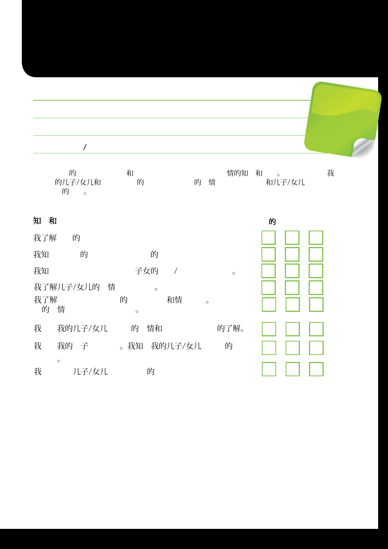# / \$ 的V 9

| ß | ß | ß | Ready<br>Steady Go |
|---|---|---|--------------------|
| Ο |   |   |                    |

V 9 的 S x も和 \$ V H ) 情的知 M和 。 我 i 1 的儿子/女儿和 的 情 和儿子/女儿 的

### 知 M和

|             | 我了解 V 的 I            |          |     |              |              |    |                                                                  |         |         |
|-------------|----------------------|----------|-----|--------------|--------------|----|------------------------------------------------------------------|---------|---------|
| 我知  v       |                      |          | 的 ô | $\mathbf{i}$ |              | 的  |                                                                  |         |         |
| 我知          |                      | $\sim$ 1 |     | 1            |              |    | 子女的 / \$                                                         |         | $\circ$ |
| 我了解<br>主的 情 | 我了解儿子/女儿的 情          |          | W ? | 的 M          | M<br>$\circ$ |    | $\overline{\phantom{a}}^{\phantom{\dag}}_{\phantom{\dag}}$<br>和情 | $\circ$ |         |
| 我           | 我的儿子/女儿——一〕的         |          |     |              |              | 情和 |                                                                  |         | 的了解。    |
| 我           | 我的 子 H i 。我知 我的儿子/女儿 |          |     |              |              |    |                                                                  |         | 的       |
| 我           | $\circ$              | 儿子/女儿    |     |              | μ3           |    | 的0                                                               |         |         |

| 的 |  |
|---|--|
|   |  |
|   |  |
|   |  |
|   |  |
|   |  |
|   |  |
|   |  |
|   |  |
|   |  |